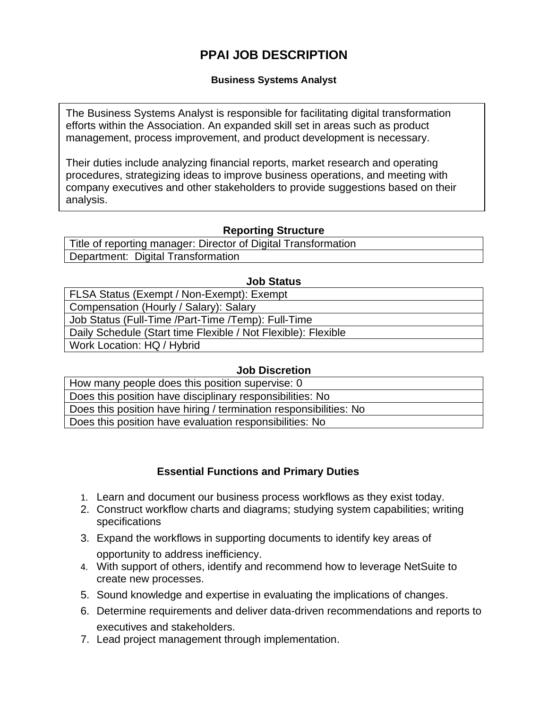# **PPAI JOB DESCRIPTION**

#### **Business Systems Analyst**

The Business Systems Analyst is responsible for facilitating digital transformation efforts within the Association. An expanded skill set in areas such as product management, process improvement, and product development is necessary.

Their duties include analyzing financial reports, market research and operating procedures, strategizing ideas to improve business operations, and meeting with company executives and other stakeholders to provide suggestions based on their analysis.

# **Reporting Structure**

Title of reporting manager: Director of Digital Transformation Department: Digital Transformation

#### **Job Status**

| FLSA Status (Exempt / Non-Exempt): Exempt                     |
|---------------------------------------------------------------|
| Compensation (Hourly / Salary): Salary                        |
| Job Status (Full-Time /Part-Time /Temp): Full-Time            |
| Daily Schedule (Start time Flexible / Not Flexible): Flexible |
| Work Location: HQ / Hybrid                                    |
|                                                               |

#### **Job Discretion**

| How many people does this position supervise: 0                   |
|-------------------------------------------------------------------|
| Does this position have disciplinary responsibilities: No         |
|                                                                   |
| Does this position have hiring / termination responsibilities: No |

# **Essential Functions and Primary Duties**

- 1. Learn and document our business process workflows as they exist today.
- 2. Construct workflow charts and diagrams; studying system capabilities; writing specifications
- 3. Expand the workflows in supporting documents to identify key areas of opportunity to address inefficiency.
- 4. With support of others, identify and recommend how to leverage NetSuite to create new processes.
- 5. Sound knowledge and expertise in evaluating the implications of changes.
- 6. Determine requirements and deliver data-driven recommendations and reports to executives and stakeholders.
- 7. Lead project management through implementation.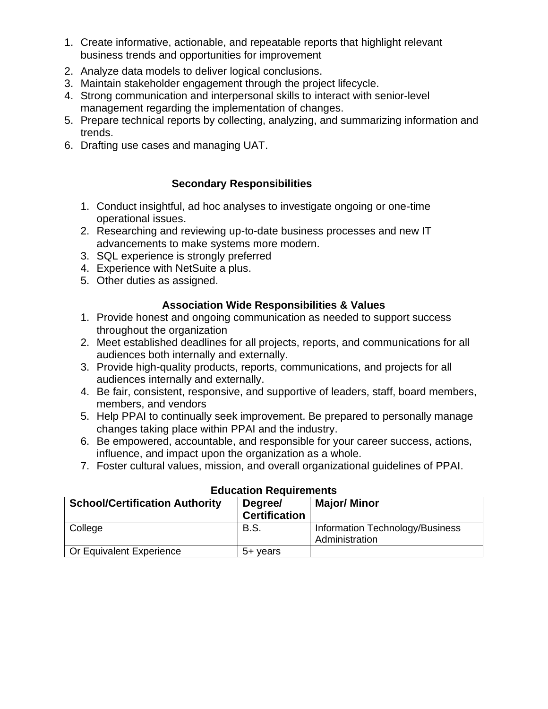- 1. Create informative, actionable, and repeatable reports that highlight relevant business trends and opportunities for improvement
- 2. Analyze [data models](https://www.simplilearn.com/what-is-data-modeling-article) to deliver logical conclusions.
- 3. Maintain stakeholder engagement through the project lifecycle.
- 4. Strong communication and interpersonal skills to interact with senior-level management regarding the implementation of changes.
- 5. Prepare technical reports by collecting, analyzing, and summarizing information and trends.
- 6. Drafting use cases and managing UAT.

## **Secondary Responsibilities**

- 1. Conduct insightful, ad hoc analyses to investigate ongoing or one-time operational issues.
- 2. Researching and reviewing up-to-date business processes and new IT advancements to make systems more modern.
- 3. SQL experience is strongly preferred
- 4. Experience with NetSuite a plus.
- 5. Other duties as assigned.

## **Association Wide Responsibilities & Values**

- 1. Provide honest and ongoing communication as needed to support success throughout the organization
- 2. Meet established deadlines for all projects, reports, and communications for all audiences both internally and externally.
- 3. Provide high-quality products, reports, communications, and projects for all audiences internally and externally.
- 4. Be fair, consistent, responsive, and supportive of leaders, staff, board members, members, and vendors
- 5. Help PPAI to continually seek improvement. Be prepared to personally manage changes taking place within PPAI and the industry.
- 6. Be empowered, accountable, and responsible for your career success, actions, influence, and impact upon the organization as a whole.
- 7. Foster cultural values, mission, and overall organizational guidelines of PPAI.

| <b>School/Certification Authority</b> | Luuvuuvii Rogulivilloitto<br>Degree/<br><b>Certification</b> | <b>Major/ Minor</b>                               |
|---------------------------------------|--------------------------------------------------------------|---------------------------------------------------|
| College                               | B.S.                                                         | Information Technology/Business<br>Administration |
| Or Equivalent Experience              | 5+ vears                                                     |                                                   |

#### **Education Requirements**